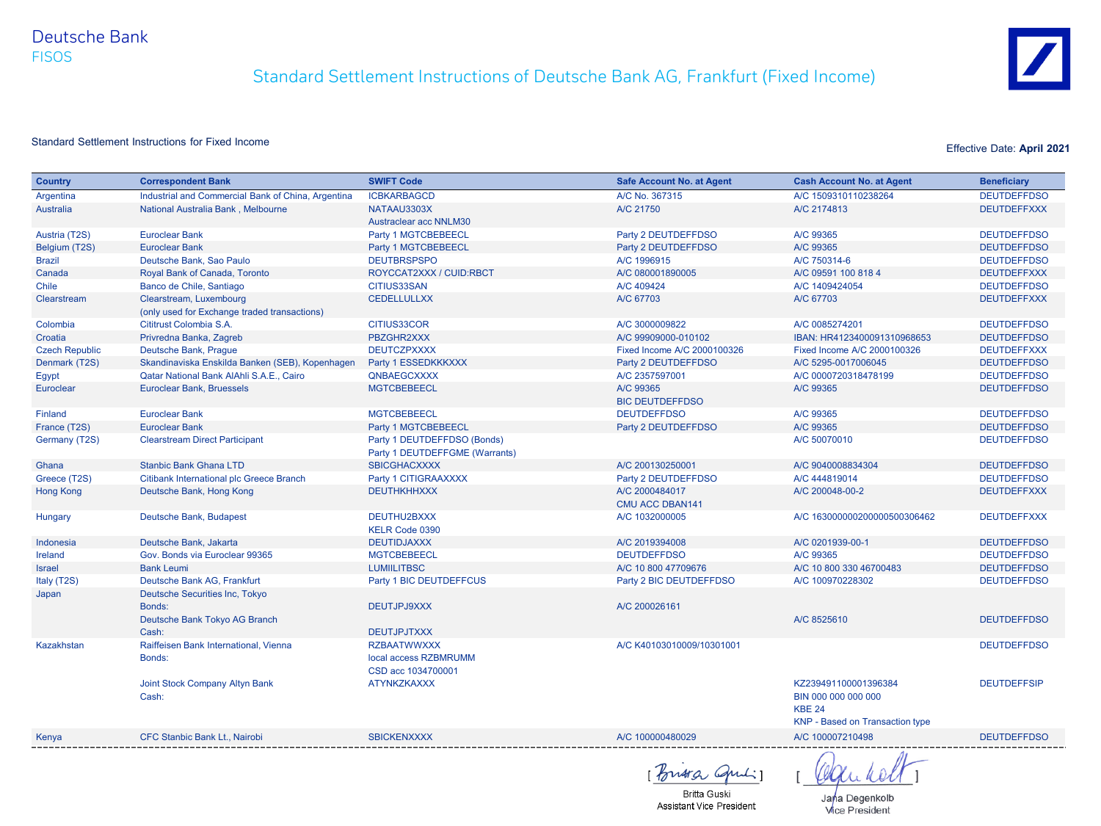Deutsche Bank FISOS

# Standard Settlement Instructions of Deutsche Bank AG, Frankfurt (Fixed Income)



## Standard Settlement Instructions for Fixed Income **Effective Date: April 2021**

| <b>Country</b>        | <b>Correspondent Bank</b>                          | <b>SWIFT Code</b>                                                 | <b>Safe Account No. at Agent</b>         | <b>Cash Account No. at Agent</b>                                                                       | <b>Beneficiary</b> |
|-----------------------|----------------------------------------------------|-------------------------------------------------------------------|------------------------------------------|--------------------------------------------------------------------------------------------------------|--------------------|
| Argentina             | Industrial and Commercial Bank of China, Argentina | <b>ICBKARBAGCD</b>                                                | A/C No. 367315                           | A/C 1509310110238264                                                                                   | <b>DEUTDEFFDSO</b> |
| <b>Australia</b>      | National Australia Bank, Melbourne                 | NATAAU3303X                                                       | A/C 21750                                | A/C 2174813                                                                                            | <b>DEUTDEFFXXX</b> |
|                       |                                                    | Austraclear acc NNLM30                                            |                                          |                                                                                                        |                    |
| Austria (T2S)         | <b>Euroclear Bank</b>                              | Party 1 MGTCBEBEECL                                               | Party 2 DEUTDEFFDSO                      | A/C 99365                                                                                              | <b>DEUTDEFFDSO</b> |
| Belgium (T2S)         | <b>Euroclear Bank</b>                              | Party 1 MGTCBEBEECL                                               | Party 2 DEUTDEFFDSO                      | A/C 99365                                                                                              | <b>DEUTDEFFDSO</b> |
| <b>Brazil</b>         | Deutsche Bank, Sao Paulo                           | <b>DEUTBRSPSPO</b>                                                | A/C 1996915                              | A/C 750314-6                                                                                           | <b>DEUTDEFFDSO</b> |
| Canada                | Royal Bank of Canada, Toronto                      | ROYCCAT2XXX / CUID:RBCT                                           | A/C 080001890005                         | A/C 09591 100 818 4                                                                                    | <b>DEUTDEFFXXX</b> |
| Chile                 | Banco de Chile, Santiago                           | <b>CITIUS33SAN</b>                                                | A/C 409424                               | A/C 1409424054                                                                                         | <b>DEUTDEFFDSO</b> |
| Clearstream           | Clearstream, Luxembourg                            | <b>CEDELLULLXX</b>                                                | A/C 67703                                | A/C 67703                                                                                              | <b>DEUTDEFFXXX</b> |
|                       | (only used for Exchange traded transactions)       |                                                                   |                                          |                                                                                                        |                    |
| Colombia              | Cititrust Colombia S.A.                            | CITIUS33COR                                                       | A/C 3000009822                           | A/C 0085274201                                                                                         | <b>DEUTDEFFDSO</b> |
| Croatia               | Privredna Banka, Zagreb                            | PBZGHR2XXX                                                        | A/C 99909000-010102                      | IBAN: HR4123400091310968653                                                                            | <b>DEUTDEFFDSO</b> |
| <b>Czech Republic</b> | Deutsche Bank, Prague                              | <b>DEUTCZPXXXX</b>                                                | Fixed Income A/C 2000100326              | Fixed Income A/C 2000100326                                                                            | <b>DEUTDEFFXXX</b> |
| Denmark (T2S)         | Skandinaviska Enskilda Banken (SEB), Kopenhagen    | Party 1 ESSEDKKKXXX                                               | Party 2 DEUTDEFFDSO                      | A/C 5295-0017006045                                                                                    | <b>DEUTDEFFDSO</b> |
| Egypt                 | Qatar National Bank AlAhli S.A.E., Cairo           | QNBAEGCXXXX                                                       | A/C 2357597001                           | A/C 0000720318478199                                                                                   | <b>DEUTDEFFDSO</b> |
| Euroclear             | Euroclear Bank, Bruessels                          | <b>MGTCBEBEECL</b>                                                | A/C 99365                                | A/C 99365                                                                                              | <b>DEUTDEFFDSO</b> |
|                       |                                                    |                                                                   | <b>BIC DEUTDEFFDSO</b>                   |                                                                                                        |                    |
| Finland               | <b>Euroclear Bank</b>                              | <b>MGTCBEBEECL</b>                                                | <b>DEUTDEFFDSO</b>                       | A/C 99365                                                                                              | <b>DEUTDEFFDSO</b> |
| France (T2S)          | <b>Euroclear Bank</b>                              | Party 1 MGTCBEBEECL                                               | Party 2 DEUTDEFFDSO                      | A/C 99365                                                                                              | <b>DEUTDEFFDSO</b> |
| Germany (T2S)         | <b>Clearstream Direct Participant</b>              | Party 1 DEUTDEFFDSO (Bonds)                                       |                                          | A/C 50070010                                                                                           | <b>DEUTDEFFDSO</b> |
|                       |                                                    | Party 1 DEUTDEFFGME (Warrants)                                    |                                          |                                                                                                        |                    |
| Ghana                 | <b>Stanbic Bank Ghana LTD</b>                      | <b>SBICGHACXXXX</b>                                               | A/C 200130250001                         | A/C 9040008834304                                                                                      | <b>DEUTDEFFDSO</b> |
| Greece (T2S)          | Citibank International plc Greece Branch           | Party 1 CITIGRAAXXXX                                              | Party 2 DEUTDEFFDSO                      | A/C 444819014                                                                                          | <b>DEUTDEFFDSO</b> |
| <b>Hong Kong</b>      | Deutsche Bank, Hong Kong                           | <b>DEUTHKHHXXX</b>                                                | A/C 2000484017<br><b>CMU ACC DBAN141</b> | A/C 200048-00-2                                                                                        | <b>DEUTDEFFXXX</b> |
| Hungary               | Deutsche Bank, Budapest                            | DEUTHU2BXXX<br>KELR Code 0390                                     | A/C 1032000005                           | A/C 163000000200000500306462                                                                           | <b>DEUTDEFFXXX</b> |
| Indonesia             | Deutsche Bank, Jakarta                             | <b>DEUTIDJAXXX</b>                                                | A/C 2019394008                           | A/C 0201939-00-1                                                                                       | <b>DEUTDEFFDSO</b> |
| Ireland               | Gov. Bonds via Euroclear 99365                     | <b>MGTCBEBEECL</b>                                                | <b>DEUTDEFFDSO</b>                       | A/C 99365                                                                                              | <b>DEUTDEFFDSO</b> |
| Israel                | <b>Bank Leumi</b>                                  | <b>LUMIILITBSC</b>                                                | A/C 10 800 47709676                      | A/C 10 800 330 46700483                                                                                | <b>DEUTDEFFDSO</b> |
| Italy (T2S)           | Deutsche Bank AG, Frankfurt                        | Party 1 BIC DEUTDEFFCUS                                           | Party 2 BIC DEUTDEFFDSO                  | A/C 100970228302                                                                                       | <b>DEUTDEFFDSO</b> |
| Japan                 | Deutsche Securities Inc, Tokyo<br>Bonds:           | DEUTJPJ9XXX                                                       | A/C 200026161                            |                                                                                                        |                    |
|                       | Deutsche Bank Tokyo AG Branch<br>Cash:             | <b>DEUTJPJTXXX</b>                                                |                                          | A/C 8525610                                                                                            | <b>DEUTDEFFDSO</b> |
| Kazakhstan            | Raiffeisen Bank International, Vienna<br>Bonds:    | <b>RZBAATWWXXX</b><br>local access RZBMRUMM<br>CSD acc 1034700001 | A/C K40103010009/10301001                |                                                                                                        | <b>DEUTDEFFDSO</b> |
|                       | Joint Stock Company Altyn Bank<br>Cash:            | <b>ATYNKZKAXXX</b>                                                |                                          | KZ239491100001396384<br>BIN 000 000 000 000<br><b>KBE 24</b><br><b>KNP</b> - Based on Transaction type | <b>DEUTDEFFSIP</b> |
| Kenya                 | CFC Stanbic Bank Lt., Nairobi                      | <b>SBICKENXXXX</b>                                                | A/C 100000480029                         | A/C 100007210498                                                                                       | <b>DEUTDEFFDSO</b> |
|                       |                                                    |                                                                   |                                          |                                                                                                        |                    |

Britia Quiliz

Britta Guski Assistant Vice President

Jana Degenkolb **Vice President**